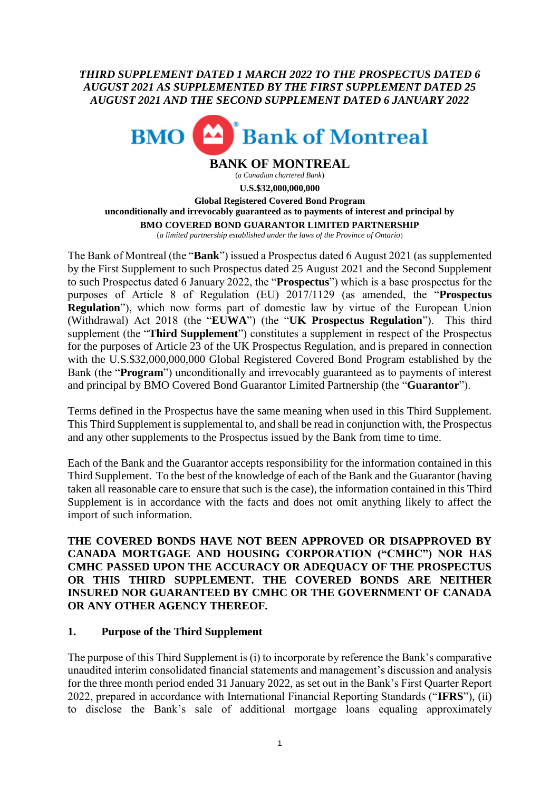*THIRD SUPPLEMENT DATED 1 MARCH 2022 TO THE PROSPECTUS DATED 6 AUGUST 2021 AS SUPPLEMENTED BY THE FIRST SUPPLEMENT DATED 25 AUGUST 2021 AND THE SECOND SUPPLEMENT DATED 6 JANUARY 2022*



**BANK OF MONTREAL** (*a Canadian chartered Bank*) **U.S.\$32,000,000,000 Global Registered Covered Bond Program unconditionally and irrevocably guaranteed as to payments of interest and principal by BMO COVERED BOND GUARANTOR LIMITED PARTNERSHIP** (*a limited partnership established under the laws of the Province of Ontario*)

The Bank of Montreal (the "**Bank**") issued a Prospectus dated 6 August 2021 (as supplemented by the First Supplement to such Prospectus dated 25 August 2021 and the Second Supplement to such Prospectus dated 6 January 2022, the "**Prospectus**") which is a base prospectus for the purposes of Article 8 of Regulation (EU) 2017/1129 (as amended, the "**Prospectus Regulation**"), which now forms part of domestic law by virtue of the European Union (Withdrawal) Act 2018 (the "**EUWA**") (the "**UK Prospectus Regulation**"). This third supplement (the "**Third Supplement**") constitutes a supplement in respect of the Prospectus for the purposes of Article 23 of the UK Prospectus Regulation, and is prepared in connection with the U.S.\$32,000,000,000 Global Registered Covered Bond Program established by the Bank (the "**Program**") unconditionally and irrevocably guaranteed as to payments of interest and principal by BMO Covered Bond Guarantor Limited Partnership (the "**Guarantor**").

Terms defined in the Prospectus have the same meaning when used in this Third Supplement. This Third Supplement is supplemental to, and shall be read in conjunction with, the Prospectus and any other supplements to the Prospectus issued by the Bank from time to time.

Each of the Bank and the Guarantor accepts responsibility for the information contained in this Third Supplement. To the best of the knowledge of each of the Bank and the Guarantor (having taken all reasonable care to ensure that such is the case), the information contained in this Third Supplement is in accordance with the facts and does not omit anything likely to affect the import of such information.

**THE COVERED BONDS HAVE NOT BEEN APPROVED OR DISAPPROVED BY CANADA MORTGAGE AND HOUSING CORPORATION ("CMHC") NOR HAS CMHC PASSED UPON THE ACCURACY OR ADEQUACY OF THE PROSPECTUS OR THIS THIRD SUPPLEMENT. THE COVERED BONDS ARE NEITHER INSURED NOR GUARANTEED BY CMHC OR THE GOVERNMENT OF CANADA OR ANY OTHER AGENCY THEREOF.**

#### **1. Purpose of the Third Supplement**

The purpose of this Third Supplement is (i) to incorporate by reference the Bank's comparative unaudited interim consolidated financial statements and management's discussion and analysis for the three month period ended 31 January 2022, as set out in the Bank's First Quarter Report 2022, prepared in accordance with International Financial Reporting Standards ("**IFRS**"), (ii) to disclose the Bank's sale of additional mortgage loans equaling approximately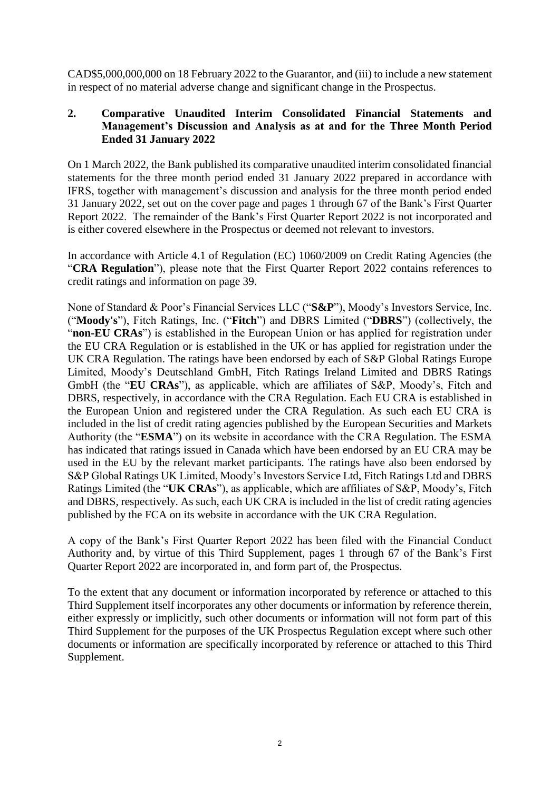CAD\$5,000,000,000 on 18 February 2022 to the Guarantor, and (iii) to include a new statement in respect of no material adverse change and significant change in the Prospectus.

#### **2. Comparative Unaudited Interim Consolidated Financial Statements and Management's Discussion and Analysis as at and for the Three Month Period Ended 31 January 2022**

On 1 March 2022, the Bank published its comparative unaudited interim consolidated financial statements for the three month period ended 31 January 2022 prepared in accordance with IFRS, together with management's discussion and analysis for the three month period ended 31 January 2022, set out on the cover page and pages 1 through 67 of the Bank's First Quarter Report 2022. The remainder of the Bank's First Quarter Report 2022 is not incorporated and is either covered elsewhere in the Prospectus or deemed not relevant to investors.

In accordance with Article 4.1 of Regulation (EC) 1060/2009 on Credit Rating Agencies (the "**CRA Regulation**"), please note that the First Quarter Report 2022 contains references to credit ratings and information on page 39.

None of Standard & Poor's Financial Services LLC ("**S&P**"), Moody's Investors Service, Inc. ("**Moody's**"), Fitch Ratings, Inc. ("**Fitch**") and DBRS Limited ("**DBRS**") (collectively, the "**non-EU CRAs**") is established in the European Union or has applied for registration under the EU CRA Regulation or is established in the UK or has applied for registration under the UK CRA Regulation. The ratings have been endorsed by each of S&P Global Ratings Europe Limited, Moody's Deutschland GmbH, Fitch Ratings Ireland Limited and DBRS Ratings GmbH (the "**EU CRAs**"), as applicable, which are affiliates of S&P, Moody's, Fitch and DBRS, respectively, in accordance with the CRA Regulation. Each EU CRA is established in the European Union and registered under the CRA Regulation. As such each EU CRA is included in the list of credit rating agencies published by the European Securities and Markets Authority (the "**ESMA**") on its website in accordance with the CRA Regulation. The ESMA has indicated that ratings issued in Canada which have been endorsed by an EU CRA may be used in the EU by the relevant market participants. The ratings have also been endorsed by S&P Global Ratings UK Limited, Moody's Investors Service Ltd, Fitch Ratings Ltd and DBRS Ratings Limited (the "**UK CRAs**"), as applicable, which are affiliates of S&P, Moody's, Fitch and DBRS, respectively. As such, each UK CRA is included in the list of credit rating agencies published by the FCA on its website in accordance with the UK CRA Regulation.

A copy of the Bank's First Quarter Report 2022 has been filed with the Financial Conduct Authority and, by virtue of this Third Supplement, pages 1 through 67 of the Bank's First Quarter Report 2022 are incorporated in, and form part of, the Prospectus.

To the extent that any document or information incorporated by reference or attached to this Third Supplement itself incorporates any other documents or information by reference therein, either expressly or implicitly, such other documents or information will not form part of this Third Supplement for the purposes of the UK Prospectus Regulation except where such other documents or information are specifically incorporated by reference or attached to this Third Supplement.